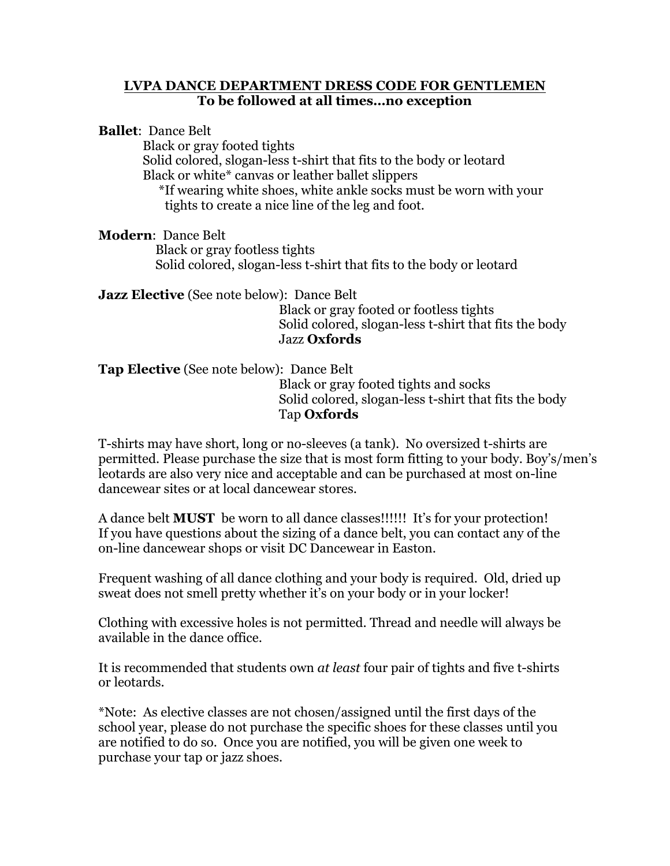## **LVPA DANCE DEPARTMENT DRESS CODE FOR GENTLEMEN To be followed at all times…no exception**

**Ballet**: Dance Belt Black or gray footed tights Solid colored, slogan-less t-shirt that fits to the body or leotard Black or white\* canvas or leather ballet slippers \*If wearing white shoes, white ankle socks must be worn with your tights t0 create a nice line of the leg and foot.

**Modern**: Dance Belt Black or gray footless tights Solid colored, slogan-less t-shirt that fits to the body or leotard

**Jazz Elective** (See note below): Dance Belt

 Black or gray footed or footless tights Solid colored, slogan-less t-shirt that fits the body Jazz **Oxfords**

**Tap Elective** (See note below): Dance Belt Black or gray footed tights and socks Solid colored, slogan-less t-shirt that fits the body Tap **Oxfords**

T-shirts may have short, long or no-sleeves (a tank). No oversized t-shirts are permitted. Please purchase the size that is most form fitting to your body. Boy's/men's leotards are also very nice and acceptable and can be purchased at most on-line dancewear sites or at local dancewear stores.

A dance belt **MUST** be worn to all dance classes!!!!!! It's for your protection! If you have questions about the sizing of a dance belt, you can contact any of the on-line dancewear shops or visit DC Dancewear in Easton.

Frequent washing of all dance clothing and your body is required. Old, dried up sweat does not smell pretty whether it's on your body or in your locker!

Clothing with excessive holes is not permitted. Thread and needle will always be available in the dance office.

It is recommended that students own *at least* four pair of tights and five t-shirts or leotards.

\*Note: As elective classes are not chosen/assigned until the first days of the school year, please do not purchase the specific shoes for these classes until you are notified to do so. Once you are notified, you will be given one week to purchase your tap or jazz shoes.